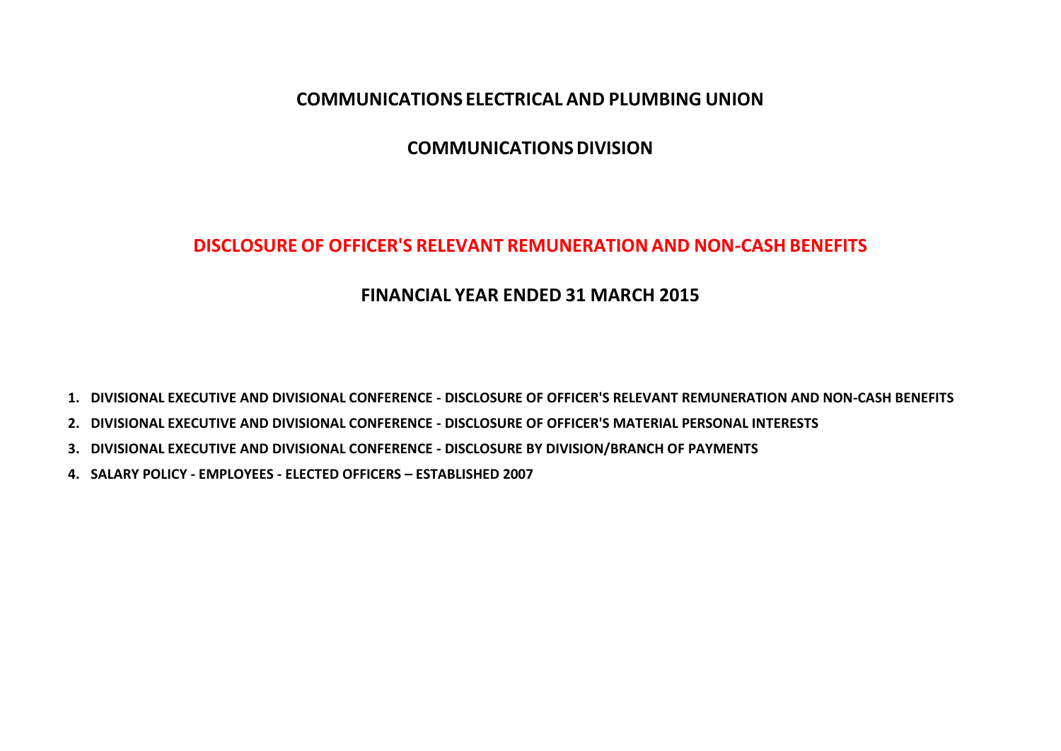## **COMMUNICATIONS ELECTRICAL AND PLUMBING UNION**

# **COMMUNICATIONSDIVISION**

# **DISCLOSURE OF OFFICER'S RELEVANT REMUNERATIONAND NON-CASH BENEFITS**

## **FINANCIAL YEAR ENDED 31 MARCH 2015**

**1. DIVISIONAL EXECUTIVE AND DIVISIONAL CONFERENCE - DISCLOSURE OF OFFICER'S RELEVANT REMUNERATION AND NON-CASH BENEFITS**

- **2. DIVISIONAL EXECUTIVE AND DIVISIONAL CONFERENCE - DISCLOSURE OF OFFICER'S MATERIAL PERSONAL INTERESTS**
- **3. DIVISIONAL EXECUTIVE AND DIVISIONAL CONFERENCE - DISCLOSURE BY DIVISION/BRANCH OF PAYMENTS**
- **4. SALARY POLICY - EMPLOYEES - ELECTED OFFICERS – ESTABLISHED 2007**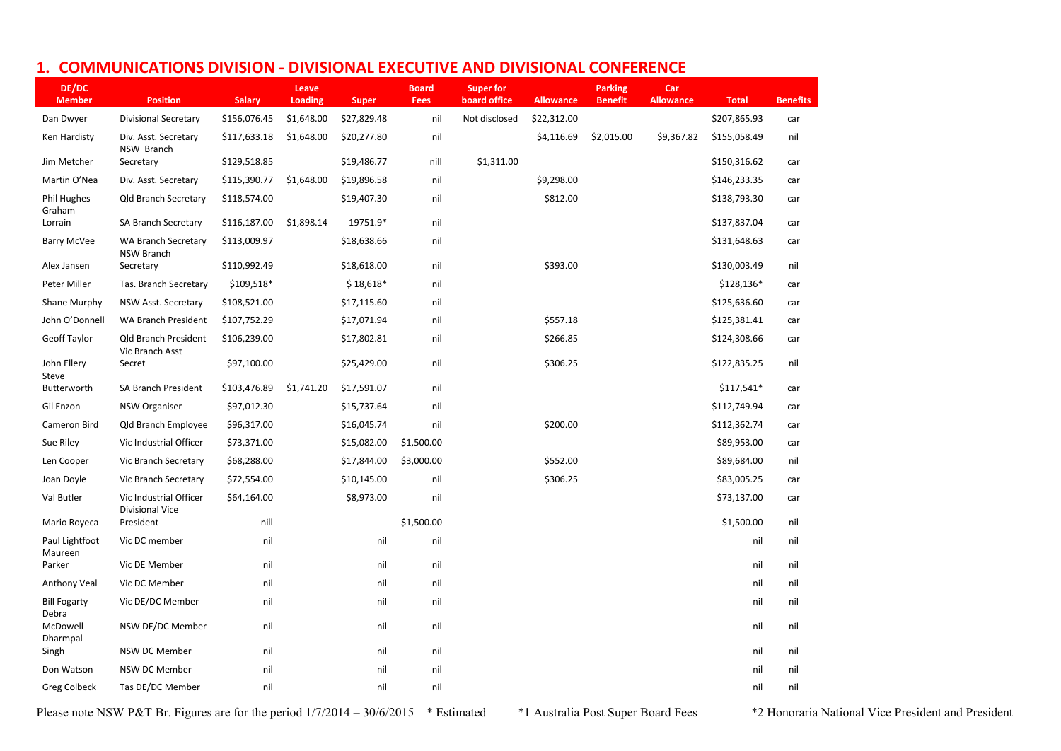## **1. COMMUNICATIONS DIVISION - DIVISIONAL EXECUTIVE AND DIVISIONAL CONFERENCE**

| DE/DC<br><b>Member</b>       | <b>Position</b>                           | <b>Salary</b> | Leave<br>Loading | <b>Super</b> | <b>Board</b><br><b>Fees</b> | <b>Super for</b><br>board office | <b>Allowance</b> | <b>Parking</b><br><b>Benefit</b> | Car<br><b>Allowance</b> | <b>Total</b> | <b>Benefits</b> |
|------------------------------|-------------------------------------------|---------------|------------------|--------------|-----------------------------|----------------------------------|------------------|----------------------------------|-------------------------|--------------|-----------------|
| Dan Dwyer                    | Divisional Secretary                      | \$156,076.45  | \$1,648.00       | \$27,829.48  | nil                         | Not disclosed                    | \$22,312.00      |                                  |                         | \$207,865.93 | car             |
| Ken Hardisty                 | Div. Asst. Secretary<br>NSW Branch        | \$117,633.18  | \$1,648.00       | \$20,277.80  | nil                         |                                  | \$4,116.69       | \$2,015.00                       | \$9,367.82              | \$155,058.49 | nil             |
| Jim Metcher                  | Secretary                                 | \$129,518.85  |                  | \$19,486.77  | nill                        | \$1,311.00                       |                  |                                  |                         | \$150,316.62 | car             |
| Martin O'Nea                 | Div. Asst. Secretary                      | \$115,390.77  | \$1,648.00       | \$19,896.58  | nil                         |                                  | \$9,298.00       |                                  |                         | \$146,233.35 | car             |
| Phil Hughes<br>Graham        | <b>Qld Branch Secretary</b>               | \$118,574.00  |                  | \$19,407.30  | nil                         |                                  | \$812.00         |                                  |                         | \$138,793.30 | car             |
| Lorrain                      | SA Branch Secretary                       | \$116,187.00  | \$1,898.14       | 19751.9*     | nil                         |                                  |                  |                                  |                         | \$137,837.04 | car             |
| <b>Barry McVee</b>           | WA Branch Secretary<br>NSW Branch         | \$113,009.97  |                  | \$18,638.66  | nil                         |                                  |                  |                                  |                         | \$131,648.63 | car             |
| Alex Jansen                  | Secretary                                 | \$110,992.49  |                  | \$18,618.00  | nil                         |                                  | \$393.00         |                                  |                         | \$130,003.49 | nil             |
| Peter Miller                 | Tas. Branch Secretary                     | \$109,518*    |                  | $$18,618*$   | nil                         |                                  |                  |                                  |                         | \$128,136*   | car             |
| Shane Murphy                 | <b>NSW Asst. Secretary</b>                | \$108,521.00  |                  | \$17,115.60  | nil                         |                                  |                  |                                  |                         | \$125,636.60 | car             |
| John O'Donnell               | WA Branch President                       | \$107,752.29  |                  | \$17,071.94  | nil                         |                                  | \$557.18         |                                  |                         | \$125,381.41 | car             |
| Geoff Taylor                 | Qld Branch President<br>Vic Branch Asst   | \$106,239.00  |                  | \$17,802.81  | nil                         |                                  | \$266.85         |                                  |                         | \$124,308.66 | car             |
| John Ellery<br>Steve         | Secret                                    | \$97,100.00   |                  | \$25,429.00  | nil                         |                                  | \$306.25         |                                  |                         | \$122,835.25 | nil             |
| Butterworth                  | SA Branch President                       | \$103,476.89  | \$1,741.20       | \$17,591.07  | nil                         |                                  |                  |                                  |                         | $$117,541*$  | car             |
| Gil Enzon                    | <b>NSW Organiser</b>                      | \$97,012.30   |                  | \$15,737.64  | nil                         |                                  |                  |                                  |                         | \$112,749.94 | car             |
| Cameron Bird                 | <b>Qld Branch Employee</b>                | \$96,317.00   |                  | \$16,045.74  | nil                         |                                  | \$200.00         |                                  |                         | \$112,362.74 | car             |
| Sue Riley                    | Vic Industrial Officer                    | \$73,371.00   |                  | \$15,082.00  | \$1,500.00                  |                                  |                  |                                  |                         | \$89,953.00  | car             |
| Len Cooper                   | Vic Branch Secretary                      | \$68,288.00   |                  | \$17,844.00  | \$3,000.00                  |                                  | \$552.00         |                                  |                         | \$89,684.00  | nil             |
| Joan Doyle                   | Vic Branch Secretary                      | \$72,554.00   |                  | \$10,145.00  | nil                         |                                  | \$306.25         |                                  |                         | \$83,005.25  | car             |
| Val Butler                   | Vic Industrial Officer<br>Divisional Vice | \$64,164.00   |                  | \$8,973.00   | nil                         |                                  |                  |                                  |                         | \$73,137.00  | car             |
| Mario Royeca                 | President                                 | nill          |                  |              | \$1,500.00                  |                                  |                  |                                  |                         | \$1,500.00   | nil             |
| Paul Lightfoot<br>Maureen    | Vic DC member                             | nil           |                  | nil          | nil                         |                                  |                  |                                  |                         | nil          | nil             |
| Parker                       | Vic DE Member                             | nil           |                  | nil          | nil                         |                                  |                  |                                  |                         | nil          | nil             |
| Anthony Veal                 | Vic DC Member                             | nil           |                  | nil          | nil                         |                                  |                  |                                  |                         | nil          | nil             |
| <b>Bill Fogarty</b><br>Debra | Vic DE/DC Member                          | nil           |                  | nil          | nil                         |                                  |                  |                                  |                         | nil          | nil             |
| McDowell<br>Dharmpal         | NSW DE/DC Member                          | nil           |                  | nil          | nil                         |                                  |                  |                                  |                         | nil          | nil             |
| Singh                        | <b>NSW DC Member</b>                      | nil           |                  | nil          | nil                         |                                  |                  |                                  |                         | nil          | nil             |
| Don Watson                   | <b>NSW DC Member</b>                      | nil           |                  | nil          | nil                         |                                  |                  |                                  |                         | nil          | nil             |
| Greg Colbeck                 | Tas DE/DC Member                          | nil           |                  | nil          | nil                         |                                  |                  |                                  |                         | nil          | nil             |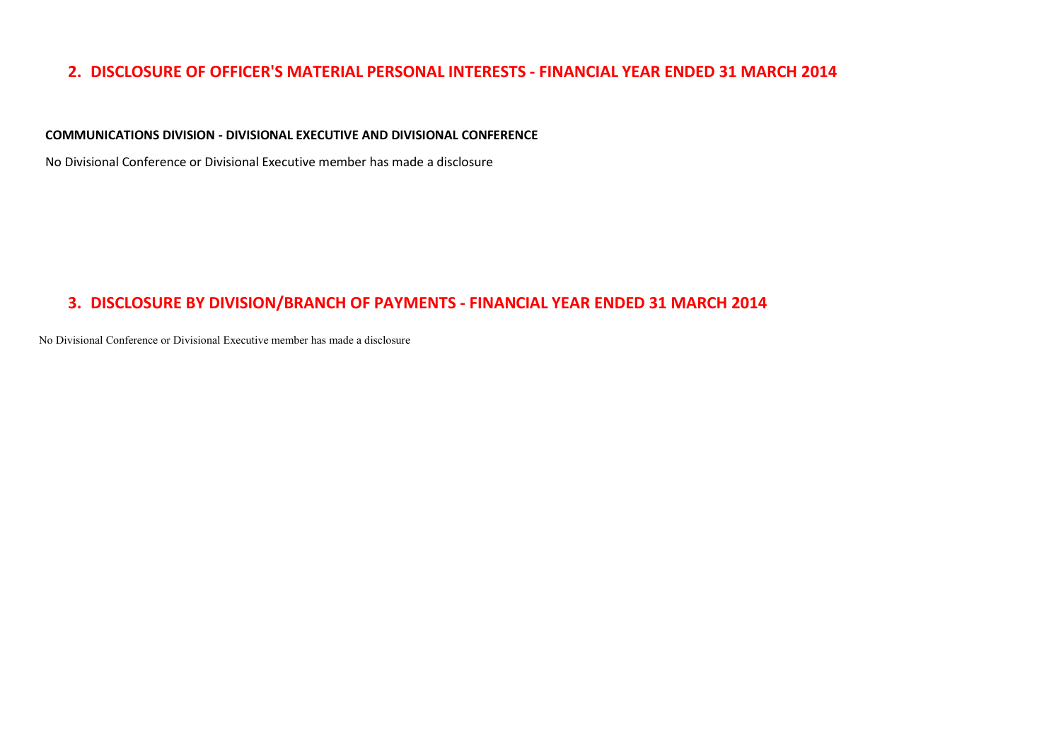### **2. DISCLOSURE OF OFFICER'S MATERIAL PERSONAL INTERESTS - FINANCIAL YEAR ENDED 31 MARCH 2014**

#### **COMMUNICATIONS DIVISION - DIVISIONAL EXECUTIVE AND DIVISIONAL CONFERENCE**

No Divisional Conference or Divisional Executive member has made a disclosure

### **3. DISCLOSURE BY DIVISION/BRANCH OF PAYMENTS - FINANCIAL YEAR ENDED 31 MARCH 2014**

No Divisional Conference or Divisional Executive member has made a disclosure